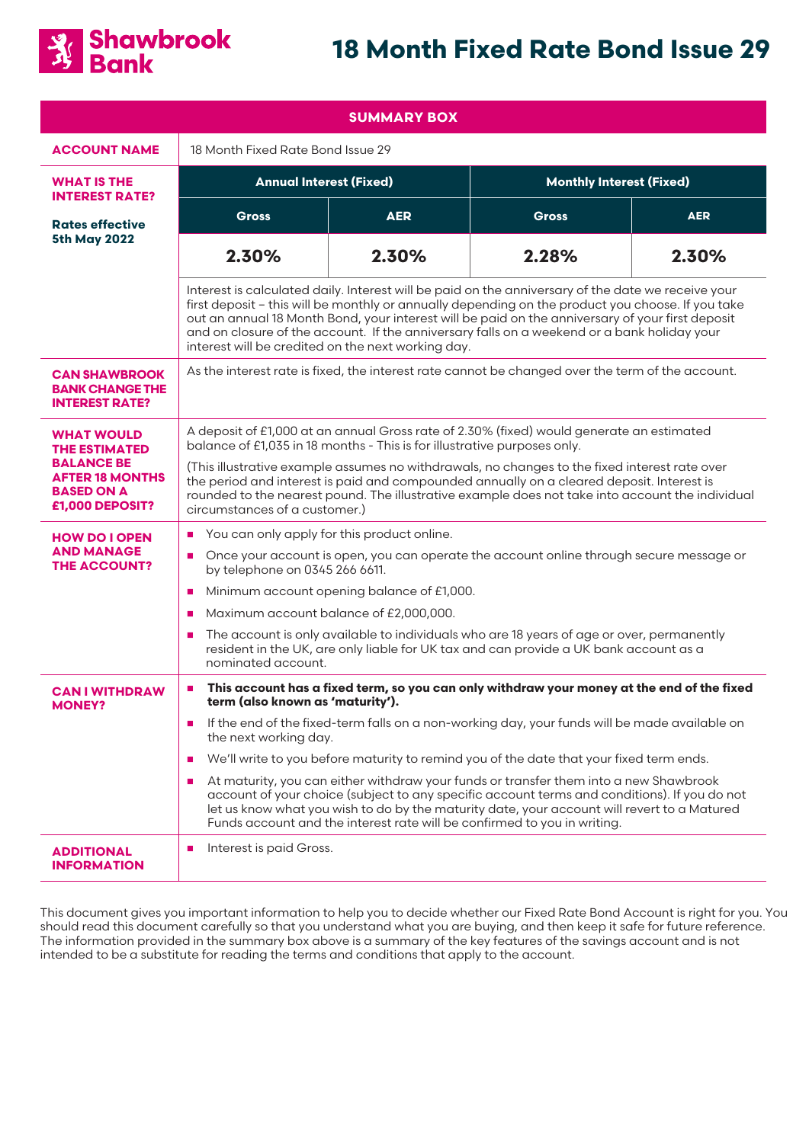

# **18 Month Fixed Rate Bond Issue 29**

| <b>SUMMARY BOX</b>                                                                  |                                                                                                                                                                                                                                                                                                                                                                                                                                                                                                                                                                                                                                                                                                                                                                                                        |            |                                 |            |
|-------------------------------------------------------------------------------------|--------------------------------------------------------------------------------------------------------------------------------------------------------------------------------------------------------------------------------------------------------------------------------------------------------------------------------------------------------------------------------------------------------------------------------------------------------------------------------------------------------------------------------------------------------------------------------------------------------------------------------------------------------------------------------------------------------------------------------------------------------------------------------------------------------|------------|---------------------------------|------------|
| <b>ACCOUNT NAME</b>                                                                 | 18 Month Fixed Rate Bond Issue 29                                                                                                                                                                                                                                                                                                                                                                                                                                                                                                                                                                                                                                                                                                                                                                      |            |                                 |            |
| <b>WHAT IS THE</b><br><b>INTEREST RATE?</b>                                         | <b>Annual Interest (Fixed)</b>                                                                                                                                                                                                                                                                                                                                                                                                                                                                                                                                                                                                                                                                                                                                                                         |            | <b>Monthly Interest (Fixed)</b> |            |
| <b>Rates effective</b><br><b>5th May 2022</b>                                       | <b>Gross</b>                                                                                                                                                                                                                                                                                                                                                                                                                                                                                                                                                                                                                                                                                                                                                                                           | <b>AER</b> | <b>Gross</b>                    | <b>AER</b> |
|                                                                                     | 2.30%                                                                                                                                                                                                                                                                                                                                                                                                                                                                                                                                                                                                                                                                                                                                                                                                  | 2.30%      | 2.28%                           | 2.30%      |
|                                                                                     | Interest is calculated daily. Interest will be paid on the anniversary of the date we receive your<br>first deposit - this will be monthly or annually depending on the product you choose. If you take<br>out an annual 18 Month Bond, your interest will be paid on the anniversary of your first deposit<br>and on closure of the account. If the anniversary falls on a weekend or a bank holiday your<br>interest will be credited on the next working day.                                                                                                                                                                                                                                                                                                                                       |            |                                 |            |
| <b>CAN SHAWBROOK</b><br><b>BANK CHANGE THE</b><br><b>INTEREST RATE?</b>             | As the interest rate is fixed, the interest rate cannot be changed over the term of the account.                                                                                                                                                                                                                                                                                                                                                                                                                                                                                                                                                                                                                                                                                                       |            |                                 |            |
| <b>WHAT WOULD</b><br><b>THE ESTIMATED</b>                                           | A deposit of £1,000 at an annual Gross rate of 2.30% (fixed) would generate an estimated<br>balance of £1,035 in 18 months - This is for illustrative purposes only.                                                                                                                                                                                                                                                                                                                                                                                                                                                                                                                                                                                                                                   |            |                                 |            |
| <b>BALANCE BE</b><br><b>AFTER 18 MONTHS</b><br><b>BASED ON A</b><br>£1,000 DEPOSIT? | (This illustrative example assumes no withdrawals, no changes to the fixed interest rate over<br>the period and interest is paid and compounded annually on a cleared deposit. Interest is<br>rounded to the nearest pound. The illustrative example does not take into account the individual<br>circumstances of a customer.)                                                                                                                                                                                                                                                                                                                                                                                                                                                                        |            |                                 |            |
| <b>HOW DO I OPEN</b>                                                                | You can only apply for this product online.<br>a.                                                                                                                                                                                                                                                                                                                                                                                                                                                                                                                                                                                                                                                                                                                                                      |            |                                 |            |
| <b>AND MANAGE</b><br><b>THE ACCOUNT?</b>                                            | Once your account is open, you can operate the account online through secure message or<br>$\blacksquare$<br>by telephone on 0345 266 6611.                                                                                                                                                                                                                                                                                                                                                                                                                                                                                                                                                                                                                                                            |            |                                 |            |
|                                                                                     | Minimum account opening balance of £1,000.<br>$\mathcal{L}_{\mathcal{A}}$                                                                                                                                                                                                                                                                                                                                                                                                                                                                                                                                                                                                                                                                                                                              |            |                                 |            |
|                                                                                     | Maximum account balance of £2,000,000.<br>$\mathcal{L}_{\mathcal{A}}$                                                                                                                                                                                                                                                                                                                                                                                                                                                                                                                                                                                                                                                                                                                                  |            |                                 |            |
|                                                                                     | The account is only available to individuals who are 18 years of age or over, permanently<br>ш<br>resident in the UK, are only liable for UK tax and can provide a UK bank account as a<br>nominated account.                                                                                                                                                                                                                                                                                                                                                                                                                                                                                                                                                                                          |            |                                 |            |
| <b>CAN I WITHDRAW</b><br><b>MONEY?</b>                                              | This account has a fixed term, so you can only withdraw your money at the end of the fixed<br>$\blacksquare$<br>term (also known as 'maturity').<br>If the end of the fixed-term falls on a non-working day, your funds will be made available on<br>$\mathbf{r}$<br>the next working day.<br>We'll write to you before maturity to remind you of the date that your fixed term ends.<br>$\mathcal{L}_{\mathcal{A}}$<br>At maturity, you can either withdraw your funds or transfer them into a new Shawbrook<br><b>COL</b><br>account of your choice (subject to any specific account terms and conditions). If you do not<br>let us know what you wish to do by the maturity date, your account will revert to a Matured<br>Funds account and the interest rate will be confirmed to you in writing. |            |                                 |            |
|                                                                                     |                                                                                                                                                                                                                                                                                                                                                                                                                                                                                                                                                                                                                                                                                                                                                                                                        |            |                                 |            |
|                                                                                     |                                                                                                                                                                                                                                                                                                                                                                                                                                                                                                                                                                                                                                                                                                                                                                                                        |            |                                 |            |
|                                                                                     |                                                                                                                                                                                                                                                                                                                                                                                                                                                                                                                                                                                                                                                                                                                                                                                                        |            |                                 |            |
| <b>ADDITIONAL</b><br><b>INFORMATION</b>                                             | Interest is paid Gross.<br>a.                                                                                                                                                                                                                                                                                                                                                                                                                                                                                                                                                                                                                                                                                                                                                                          |            |                                 |            |

This document gives you important information to help you to decide whether our Fixed Rate Bond Account is right for you. You should read this document carefully so that you understand what you are buying, and then keep it safe for future reference. The information provided in the summary box above is a summary of the key features of the savings account and is not intended to be a substitute for reading the terms and conditions that apply to the account.